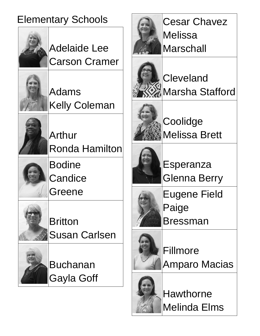### Elementary Schools



Adelaide Lee Carson Cramer



Adams Kelly Coleman



Arthur Ronda Hamilton

Bodine **Candice** Greene



**Britton** Susan Carlsen



Buchanan Gayla Goff



Cesar Chavez **Melissa Marschall** 



**Cleveland** Marsha Stafford



**Coolidge** Melissa Brett



Esperanza Glenna Berry

Eugene Field Paige Bressman



Fillmore Amparo Macias



Hawthorne Melinda Elms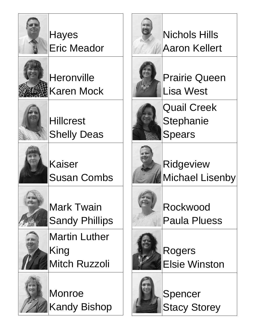

**Hayes** Eric Meador



**Heronville** Karen Mock

**Hillcrest** Shelly Deas



Kaiser Susan Combs



Mark Twain Sandy Phillips



Martin Luther King Mitch Ruzzoli



Monroe Kandy Bishop



# Nichols Hills Aaron Kellert



Prairie Queen Lisa West



Quail Creek **Stephanie** Spears



Ridgeview Michael Lisenby

Rockwood Paula Pluess



Rogers Elsie Winston



Spencer Stacy Storey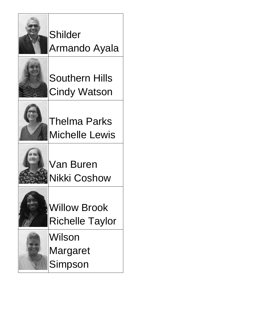

Shilder Armando Ayala



Southern Hills Cindy Watson



Thelma Parks Michelle Lewis



Van Buren Nikki Coshow



Willow Brook Richelle Taylor

Wilson Margaret Simpson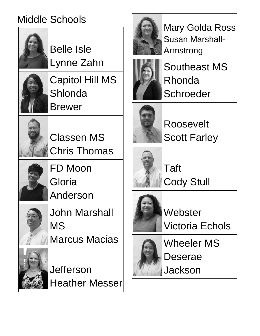### Middle Schools







Mary Golda Ross Susan Marshall-Armstrong

Southeast MS Rhonda **Schroeder** 

Roosevelt Scott Farley

Taft Cody Stull

**Webster** Victoria Echols

Wheeler MS Deserae Jackson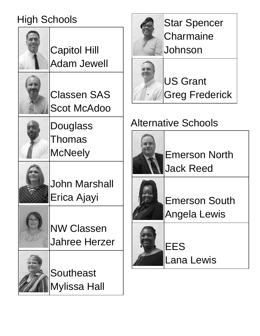# High Schools





US Grant Greg Frederick

# Alternative Schools